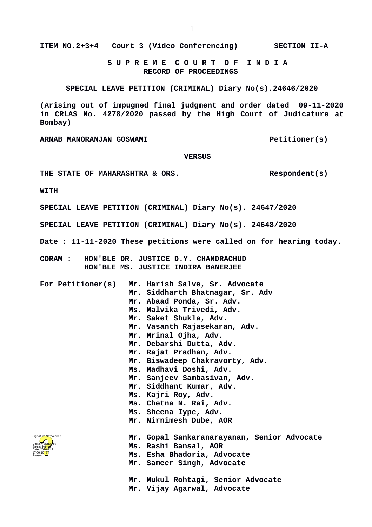**S U P R E M E C O U R T O F I N D I A RECORD OF PROCEEDINGS**

**SPECIAL LEAVE PETITION (CRIMINAL) Diary No(s).24646/2020**

**(Arising out of impugned final judgment and order dated 09-11-2020 in CRLAS No. 4278/2020 passed by the High Court of Judicature at Bombay)**

ARNAB MANORANJAN GOSWAMI **Petitioner(s)** 

## **VERSUS**

THE STATE OF MAHARASHTRA & ORS. Respondent(s)

**WITH**

**SPECIAL LEAVE PETITION (CRIMINAL) Diary No(s). 24647/2020**

**SPECIAL LEAVE PETITION (CRIMINAL) Diary No(s). 24648/2020**

**Date : 11-11-2020 These petitions were called on for hearing today.**

- **CORAM : HON'BLE DR. JUSTICE D.Y. CHANDRACHUD HON'BLE MS. JUSTICE INDIRA BANERJEE**
- **For Petitioner(s) Mr. Harish Salve, Sr. Advocate Mr. Siddharth Bhatnagar, Sr. Adv Mr. Abaad Ponda, Sr. Adv. Ms. Malvika Trivedi, Adv. Mr. Saket Shukla, Adv. Mr. Vasanth Rajasekaran, Adv. Mr. Mrinal Ojha, Adv. Mr. Debarshi Dutta, Adv. Mr. Rajat Pradhan, Adv. Mr. Biswadeep Chakravorty, Adv. Ms. Madhavi Doshi, Adv. Mr. Sanjeev Sambasivan, Adv. Mr. Siddhant Kumar, Adv. Ms. Kajri Roy, Adv. Ms. Chetna N. Rai, Adv. Ms. Sheena Iype, Adv. Mr. Nirnimesh Dube, AOR Mr. Gopal Sankaranarayanan, Senior Advocate Ms. Rashi Bansal, AOR Ms. Esha Bhadoria, Advocate Mr. Sameer Singh, Advocate Mr. Mukul Rohtagi, Senior Advocate Mr. Vijay Agarwal, Advocate** Digitally signed by Sanjay Kumar Date: 2020.11.11 17:00:10<sup>1ST</sup> Reason: Signature Not Verified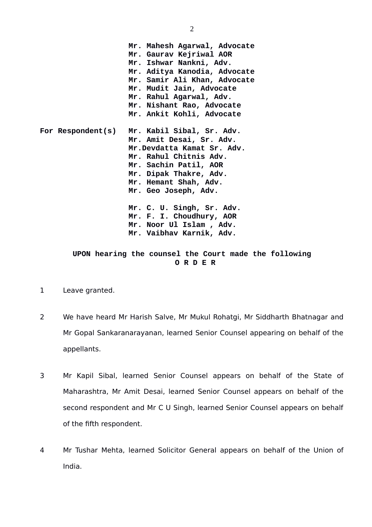**Mr. Mahesh Agarwal, Advocate Mr. Gaurav Kejriwal AOR Mr. Ishwar Nankni, Adv. Mr. Aditya Kanodia, Advocate Mr. Samir Ali Khan, Advocate Mr. Mudit Jain, Advocate Mr. Rahul Agarwal, Adv. Mr. Nishant Rao, Advocate Mr. Ankit Kohli, Advocate For Respondent(s) Mr. Kabil Sibal, Sr. Adv. Mr. Amit Desai, Sr. Adv. Mr.Devdatta Kamat Sr. Adv. Mr. Rahul Chitnis Adv. Mr. Sachin Patil, AOR Mr. Dipak Thakre, Adv. Mr. Hemant Shah, Adv. Mr. Geo Joseph, Adv. Mr. C. U. Singh, Sr. Adv. Mr. F. I. Choudhury, AOR Mr. Noor Ul Islam , Adv. Mr. Vaibhav Karnik, Adv.**

## **UPON hearing the counsel the Court made the following O R D E R**

- 1 Leave granted.
- 2 We have heard Mr Harish Salve, Mr Mukul Rohatgi, Mr Siddharth Bhatnagar and Mr Gopal Sankaranarayanan, learned Senior Counsel appearing on behalf of the appellants.
- 3 Mr Kapil Sibal, learned Senior Counsel appears on behalf of the State of Maharashtra, Mr Amit Desai, learned Senior Counsel appears on behalf of the second respondent and Mr C U Singh, learned Senior Counsel appears on behalf of the fifth respondent.
- 4 Mr Tushar Mehta, learned Solicitor General appears on behalf of the Union of India.